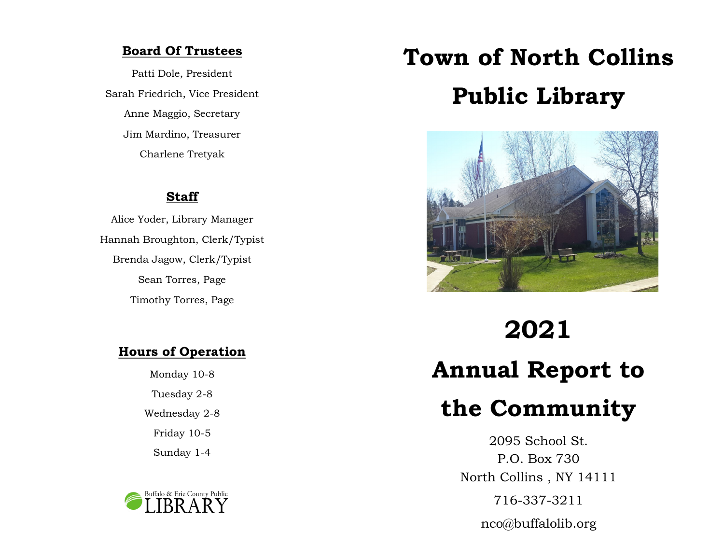## **Board Of Trustees**

Patti Dole, President Sarah Friedrich, Vice President Anne Maggio, Secretary Jim Mardino, Treasurer Charlene Tretyak

## **Staff**

Alice Yoder, Library Manager Hannah Broughton, Clerk/Typist Brenda Jagow, Clerk/Typist Sean Torres, Page Timothy Torres, Page

## **Hours of Operation**

Monday 10-8 Tuesday 2-8 Wednesday 2-8 Friday 10-5 Sunday 1-4



# **Town of North Collins Public Library**



**2021 Annual Report to the Community**

> 2095 School St. P.O. Box 730 North Collins , NY 14111 716-337-3211 nco@buffalolib.org